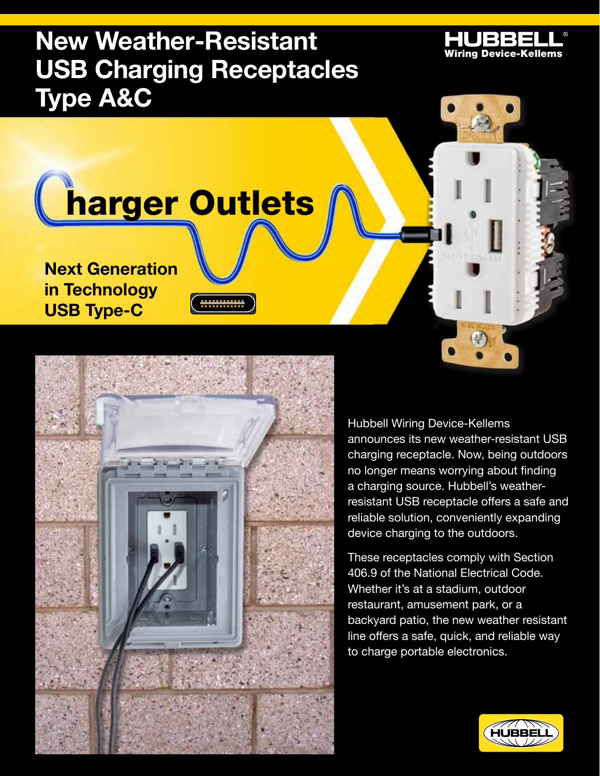## **New Weather-Resistant HUBBELL USB Charging Receptacles Type A&C**

# harger Outlets

<u>. . . . . . . . . . . . .</u>

**Next Generation in Technology USB Type-C**



Hubbell Wiring Device-Kellems announces its new weather-resistant USB charging receptacle. Now, being outdoors no longer means worrying about finding a charging source. Hubbell's weatherresistant USB receptacle offers a safe and reliable solution, conveniently expanding device charging to the outdoors.

These receptacles comply with Section 406.9 of the National Electrical Code. Whether it's at a stadium, outdoor restaurant, amusement park, or a backyard patio, the new weather resistant line offers a safe, quick, and reliable way to charge portable electronics.